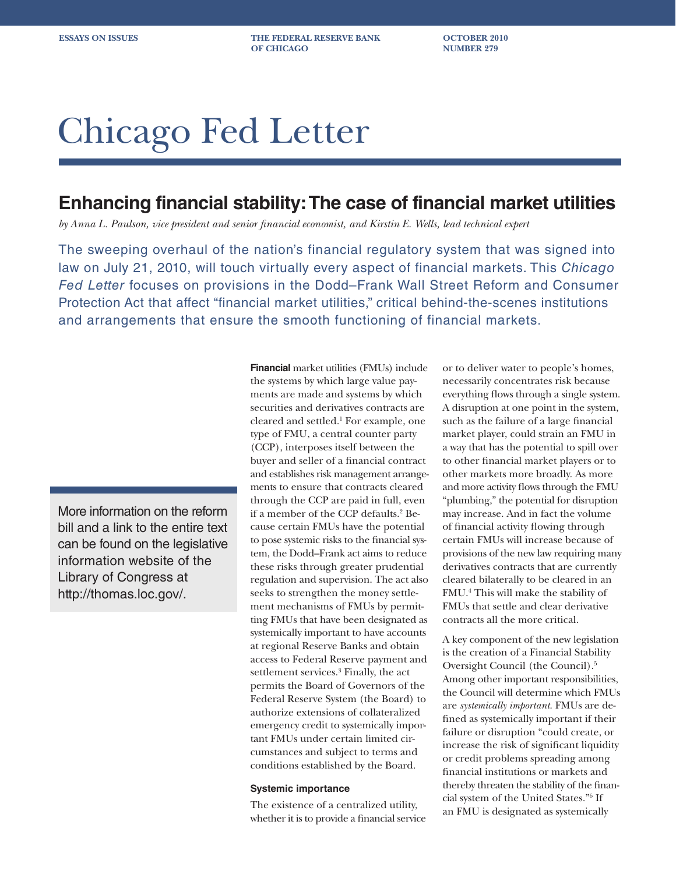**ESSAYS ON ISSUES THE FEDERAL RESERVE BANK OCTOBER 2010 OF CHICAGO** NUMBER 279

# Chicago Fed Letter

## **Enhancing financial stability: The case of financial market utilities**

*by Anna L. Paulson, vice president and senior financial economist, and Kirstin E. Wells, lead technical expert*

The sweeping overhaul of the nation's financial regulatory system that was signed into law on July 21, 2010, will touch virtually every aspect of financial markets. This *Chicago Fed Letter* focuses on provisions in the Dodd–Frank Wall Street Reform and Consumer Protection Act that affect "financial market utilities," critical behind-the-scenes institutions and arrangements that ensure the smooth functioning of financial markets.

More information on the reform bill and a link to the entire text can be found on the legislative information website of the Library of Congress at http://thomas.loc.gov/.

**Financial** market utilities (FMUs) include the systems by which large value payments are made and systems by which securities and derivatives contracts are cleared and settled.1 For example, one type of FMU, a central counter party (CCP), interposes itself between the buyer and seller of a financial contract and establishes risk management arrangements to ensure that contracts cleared through the CCP are paid in full, even if a member of the CCP defaults.2 Because certain FMUs have the potential to pose systemic risks to the financial system, the Dodd–Frank act aims to reduce these risks through greater prudential regulation and supervision. The act also seeks to strengthen the money settlement mechanisms of FMUs by permitting FMUs that have been designated as systemically important to have accounts at regional Reserve Banks and obtain access to Federal Reserve payment and settlement services.<sup>3</sup> Finally, the act permits the Board of Governors of the Federal Reserve System (the Board) to authorize extensions of collateralized emergency credit to systemically important FMUs under certain limited circumstances and subject to terms and conditions established by the Board.

#### **Systemic importance**

The existence of a centralized utility, whether it is to provide a financial service or to deliver water to people's homes, necessarily concentrates risk because everything flows through a single system. A disruption at one point in the system, such as the failure of a large financial market player, could strain an FMU in a way that has the potential to spill over to other financial market players or to other markets more broadly. As more and more activity flows through the FMU "plumbing," the potential for disruption may increase. And in fact the volume of financial activity flowing through certain FMUs will increase because of provisions of the new law requiring many derivatives contracts that are currently cleared bilaterally to be cleared in an FMU.4 This will make the stability of FMUs that settle and clear derivative contracts all the more critical.

A key component of the new legislation is the creation of a Financial Stability Oversight Council (the Council).5 Among other important responsibilities, the Council will determine which FMUs are *systemically important*. FMUs are defined as systemically important if their failure or disruption "could create, or increase the risk of significant liquidity or credit problems spreading among financial institutions or markets and thereby threaten the stability of the financial system of the United States."6 If an FMU is designated as systemically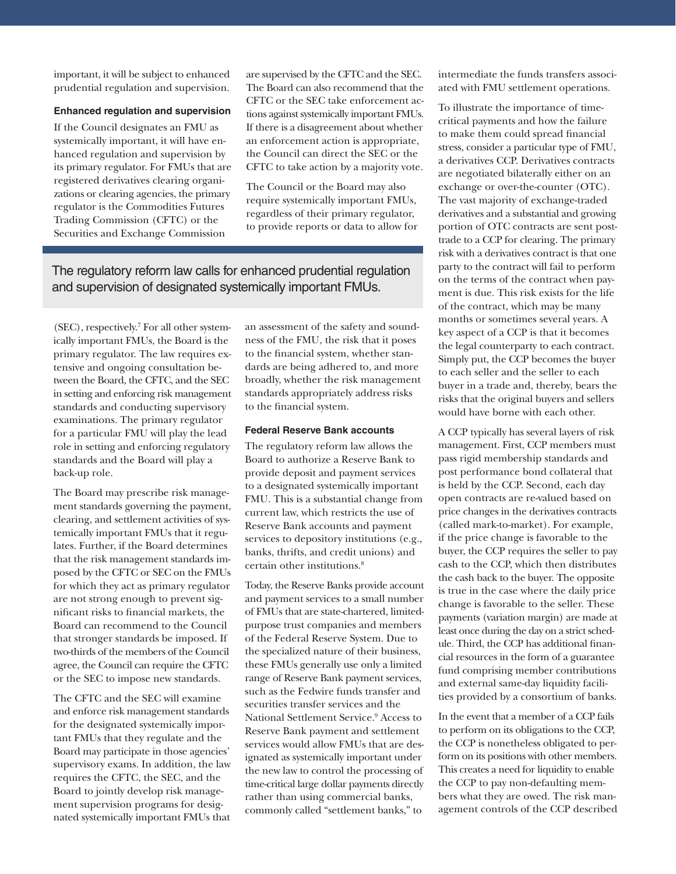important, it will be subject to enhanced prudential regulation and supervision.

## **Enhanced regulation and supervision**

If the Council designates an FMU as systemically important, it will have enhanced regulation and supervision by its primary regulator. For FMUs that are registered derivatives clearing organizations or clearing agencies, the primary regulator is the Commodities Futures Trading Commission (CFTC) or the Securities and Exchange Commission

are supervised by the CFTC and the SEC. The Board can also recommend that the CFTC or the SEC take enforcement actions against systemically important FMUs. If there is a disagreement about whether an enforcement action is appropriate, the Council can direct the SEC or the CFTC to take action by a majority vote.

The Council or the Board may also require systemically important FMUs, regardless of their primary regulator, to provide reports or data to allow for

## The regulatory reform law calls for enhanced prudential regulation and supervision of designated systemically important FMUs.

(SEC), respectively.7 For all other systemically important FMUs, the Board is the primary regulator. The law requires extensive and ongoing consultation between the Board, the CFTC, and the SEC in setting and enforcing risk management standards and conducting supervisory examinations. The primary regulator for a particular FMU will play the lead role in setting and enforcing regulatory standards and the Board will play a back-up role.

The Board may prescribe risk management standards governing the payment, clearing, and settlement activities of systemically important FMUs that it regulates. Further, if the Board determines that the risk management standards imposed by the CFTC or SEC on the FMUs for which they act as primary regulator are not strong enough to prevent significant risks to financial markets, the Board can recommend to the Council that stronger standards be imposed. If two-thirds of the members of the Council agree, the Council can require the CFTC or the SEC to impose new standards.

The CFTC and the SEC will examine and enforce risk management standards for the designated systemically important FMUs that they regulate and the Board may participate in those agencies' supervisory exams. In addition, the law requires the CFTC, the SEC, and the Board to jointly develop risk management supervision programs for designated systemically important FMUs that

an assessment of the safety and soundness of the FMU, the risk that it poses to the financial system, whether standards are being adhered to, and more broadly, whether the risk management standards appropriately address risks to the financial system.

### **Federal Reserve Bank accounts**

The regulatory reform law allows the Board to authorize a Reserve Bank to provide deposit and payment services to a designated systemically important FMU. This is a substantial change from current law, which restricts the use of Reserve Bank accounts and payment services to depository institutions (e.g., banks, thrifts, and credit unions) and certain other institutions.<sup>8</sup>

Today, the Reserve Banks provide account and payment services to a small number of FMUs that are state-chartered, limitedpurpose trust companies and members of the Federal Reserve System. Due to the specialized nature of their business, these FMUs generally use only a limited range of Reserve Bank payment services, such as the Fedwire funds transfer and securities transfer services and the National Settlement Service.9 Access to Reserve Bank payment and settlement services would allow FMUs that are designated as systemically important under the new law to control the processing of time-critical large dollar payments directly rather than using commercial banks, commonly called "settlement banks," to

intermediate the funds transfers associated with FMU settlement operations.

To illustrate the importance of timecritical payments and how the failure to make them could spread financial stress, consider a particular type of FMU, a derivatives CCP. Derivatives contracts are negotiated bilaterally either on an exchange or over-the-counter (OTC). The vast majority of exchange-traded derivatives and a substantial and growing portion of OTC contracts are sent posttrade to a CCP for clearing. The primary risk with a derivatives contract is that one party to the contract will fail to perform on the terms of the contract when payment is due. This risk exists for the life of the contract, which may be many months or sometimes several years. A key aspect of a CCP is that it becomes the legal counterparty to each contract. Simply put, the CCP becomes the buyer to each seller and the seller to each buyer in a trade and, thereby, bears the risks that the original buyers and sellers would have borne with each other.

A CCP typically has several layers of risk management. First, CCP members must pass rigid membership standards and post performance bond collateral that is held by the CCP. Second, each day open contracts are re-valued based on price changes in the derivatives contracts (called mark-to-market). For example, if the price change is favorable to the buyer, the CCP requires the seller to pay cash to the CCP, which then distributes the cash back to the buyer. The opposite is true in the case where the daily price change is favorable to the seller. These payments (variation margin) are made at least once during the day on a strict schedule. Third, the CCP has additional financial resources in the form of a guarantee fund comprising member contributions and external same-day liquidity facilities provided by a consortium of banks.

In the event that a member of a CCP fails to perform on its obligations to the CCP, the CCP is nonetheless obligated to perform on its positions with other members. This creates a need for liquidity to enable the CCP to pay non-defaulting members what they are owed. The risk management controls of the CCP described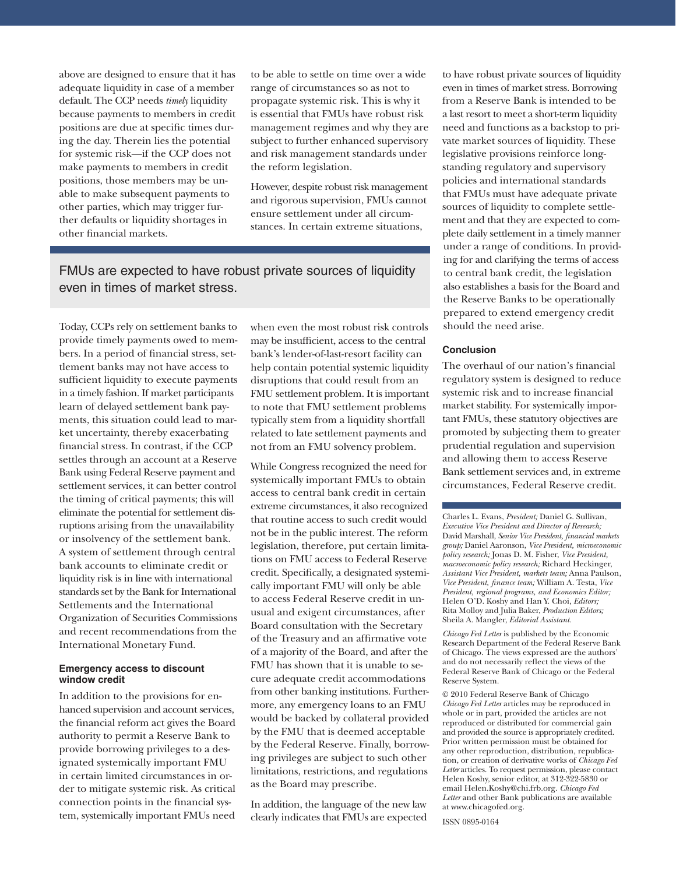above are designed to ensure that it has adequate liquidity in case of a member default. The CCP needs *timely* liquidity because payments to members in credit positions are due at specific times during the day. Therein lies the potential for systemic risk—if the CCP does not make payments to members in credit positions, those members may be unable to make subsequent payments to other parties, which may trigger further defaults or liquidity shortages in other financial markets.

to be able to settle on time over a wide range of circumstances so as not to propagate systemic risk. This is why it is essential that FMUs have robust risk management regimes and why they are subject to further enhanced supervisory and risk management standards under the reform legislation.

However, despite robust risk management and rigorous supervision, FMUs cannot ensure settlement under all circumstances. In certain extreme situations,

## FMUs are expected to have robust private sources of liquidity even in times of market stress.

Today, CCPs rely on settlement banks to provide timely payments owed to members. In a period of financial stress, settlement banks may not have access to sufficient liquidity to execute payments in a timely fashion. If market participants learn of delayed settlement bank payments, this situation could lead to market uncertainty, thereby exacerbating financial stress. In contrast, if the CCP settles through an account at a Reserve Bank using Federal Reserve payment and settlement services, it can better control the timing of critical payments; this will eliminate the potential for settlement disruptions arising from the unavailability or insolvency of the settlement bank. A system of settlement through central bank accounts to eliminate credit or liquidity risk is in line with international standards set by the Bank for International Settlements and the International Organization of Securities Commissions and recent recommendations from the International Monetary Fund.

#### **Emergency access to discount window credit**

In addition to the provisions for enhanced supervision and account services, the financial reform act gives the Board authority to permit a Reserve Bank to provide borrowing privileges to a designated systemically important FMU in certain limited circumstances in order to mitigate systemic risk. As critical connection points in the financial system, systemically important FMUs need

when even the most robust risk controls may be insufficient, access to the central bank's lender-of-last-resort facility can help contain potential systemic liquidity disruptions that could result from an FMU settlement problem. It is important to note that FMU settlement problems typically stem from a liquidity shortfall related to late settlement payments and not from an FMU solvency problem.

While Congress recognized the need for systemically important FMUs to obtain access to central bank credit in certain extreme circumstances, it also recognized that routine access to such credit would not be in the public interest. The reform legislation, therefore, put certain limitations on FMU access to Federal Reserve credit. Specifically, a designated systemically important FMU will only be able to access Federal Reserve credit in unusual and exigent circumstances, after Board consultation with the Secretary of the Treasury and an affirmative vote of a majority of the Board, and after the FMU has shown that it is unable to secure adequate credit accommodations from other banking institutions. Furthermore, any emergency loans to an FMU would be backed by collateral provided by the FMU that is deemed acceptable by the Federal Reserve. Finally, borrowing privileges are subject to such other limitations, restrictions, and regulations as the Board may prescribe.

In addition, the language of the new law clearly indicates that FMUs are expected

to have robust private sources of liquidity even in times of market stress. Borrowing from a Reserve Bank is intended to be a last resort to meet a short-term liquidity need and functions as a backstop to private market sources of liquidity. These legislative provisions reinforce longstanding regulatory and supervisory policies and international standards that FMUs must have adequate private sources of liquidity to complete settlement and that they are expected to complete daily settlement in a timely manner under a range of conditions. In providing for and clarifying the terms of access to central bank credit, the legislation also establishes a basis for the Board and the Reserve Banks to be operationally prepared to extend emergency credit should the need arise.

## **Conclusion**

The overhaul of our nation's financial regulatory system is designed to reduce systemic risk and to increase financial market stability. For systemically important FMUs, these statutory objectives are promoted by subjecting them to greater prudential regulation and supervision and allowing them to access Reserve Bank settlement services and, in extreme circumstances, Federal Reserve credit.

Charles L. Evans, *President;* Daniel G. Sullivan, *Executive Vice President and Director of Research;*  David Marshall, *Senior Vice President, financial markets group;* Daniel Aaronson, *Vice President, microeconomic policy research;* Jonas D. M. Fisher, *Vice President, macroeconomic policy research;* Richard Heckinger, *Assistant Vice President, markets team;* Anna Paulson, *Vice President, finance team;* William A. Testa, *Vice President, regional programs, and Economics Editor;*  Helen O'D. Koshy and Han Y. Choi, *Editors;*  Rita Molloy and Julia Baker, *Production Editors;*  Sheila A. Mangler, *Editorial Assistant.* 

*Chicago Fed Letter* is published by the Economic Research Department of the Federal Reserve Bank of Chicago. The views expressed are the authors' and do not necessarily reflect the views of the Federal Reserve Bank of Chicago or the Federal Reserve System.

© 2010 Federal Reserve Bank of Chicago *Chicago Fed Letter* articles may be reproduced in whole or in part, provided the articles are not reproduced or distributed for commercial gain and provided the source is appropriately credited. Prior written permission must be obtained for any other reproduction, distribution, republication, or creation of derivative works of *Chicago Fed Letter* articles. To request permission, please contact Helen Koshy, senior editor, at 312-322-5830 or email Helen.Koshy@chi.frb.org. *Chicago Fed Letter* and other Bank publications are available at www.chicagofed.org.

ISSN 0895-0164